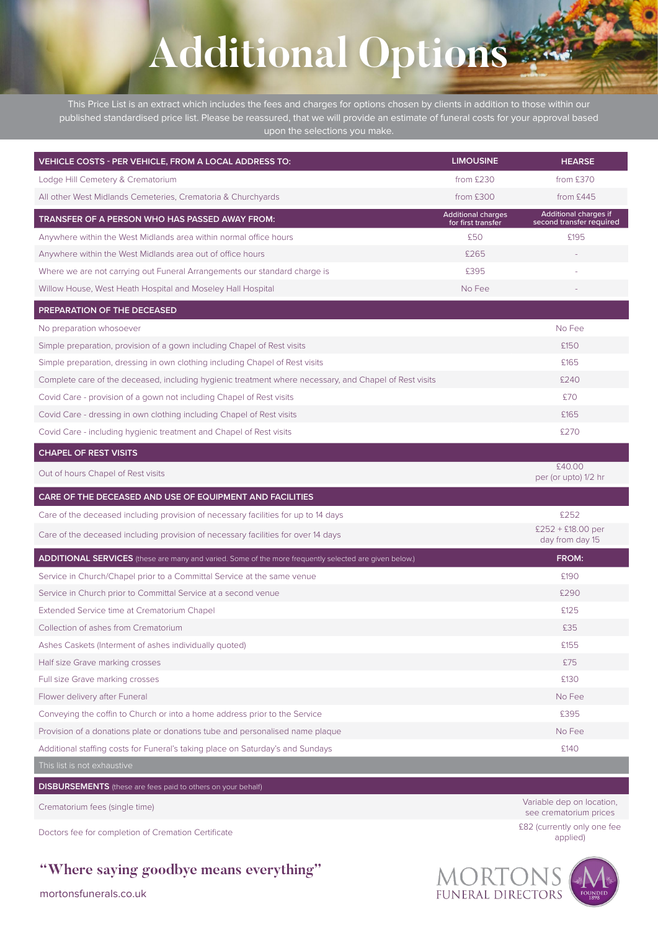## **Additional Options**

This Price List is an extract which includes the fees and charges for options chosen by clients in addition to those within our published standardised price list. Please be reassured, that we will provide an estimate of funeral costs for your approval based upon the selections you make.

| VEHICLE COSTS - PER VEHICLE, FROM A LOCAL ADDRESS TO:                                                         | <b>LIMOUSINE</b>                                | <b>HEARSE</b>                                     |
|---------------------------------------------------------------------------------------------------------------|-------------------------------------------------|---------------------------------------------------|
| Lodge Hill Cemetery & Crematorium                                                                             | from £230                                       | from £370                                         |
| All other West Midlands Cemeteries, Crematoria & Churchyards                                                  | from £300                                       | from £445                                         |
| <b>TRANSFER OF A PERSON WHO HAS PASSED AWAY FROM:</b>                                                         | <b>Additional charges</b><br>for first transfer | Additional charges if<br>second transfer required |
| Anywhere within the West Midlands area within normal office hours                                             | £50                                             | £195                                              |
| Anywhere within the West Midlands area out of office hours                                                    | £265                                            |                                                   |
| Where we are not carrying out Funeral Arrangements our standard charge is                                     | £395                                            |                                                   |
| Willow House, West Heath Hospital and Moseley Hall Hospital                                                   | No Fee                                          |                                                   |
| PREPARATION OF THE DECEASED                                                                                   |                                                 |                                                   |
| No preparation whosoever                                                                                      |                                                 | No Fee                                            |
| Simple preparation, provision of a gown including Chapel of Rest visits                                       |                                                 | £150                                              |
| Simple preparation, dressing in own clothing including Chapel of Rest visits                                  |                                                 | £165                                              |
| Complete care of the deceased, including hygienic treatment where necessary, and Chapel of Rest visits        |                                                 | £240                                              |
| Covid Care - provision of a gown not including Chapel of Rest visits                                          |                                                 | £70                                               |
| Covid Care - dressing in own clothing including Chapel of Rest visits                                         |                                                 | £165                                              |
| Covid Care - including hygienic treatment and Chapel of Rest visits                                           |                                                 | £270                                              |
| <b>CHAPEL OF REST VISITS</b>                                                                                  |                                                 |                                                   |
| Out of hours Chapel of Rest visits                                                                            |                                                 | £40.00<br>per (or upto) 1/2 hr                    |
| CARE OF THE DECEASED AND USE OF EQUIPMENT AND FACILITIES                                                      |                                                 |                                                   |
| Care of the deceased including provision of necessary facilities for up to 14 days                            |                                                 | £252                                              |
| Care of the deceased including provision of necessary facilities for over 14 days                             |                                                 | $£252 + £18.00$ per<br>day from day 15            |
| <b>ADDITIONAL SERVICES</b> (these are many and varied. Some of the more frequently selected are given below.) |                                                 | FROM:                                             |
| Service in Church/Chapel prior to a Committal Service at the same venue                                       |                                                 | £190                                              |
| Service in Church prior to Committal Service at a second venue                                                |                                                 | £290                                              |
| Extended Service time at Crematorium Chapel                                                                   |                                                 | £125                                              |
| Collection of ashes from Crematorium                                                                          |                                                 | £35                                               |
| Ashes Caskets (Interment of ashes individually quoted)                                                        |                                                 | £155                                              |
| Half size Grave marking crosses                                                                               |                                                 | £75                                               |
| Full size Grave marking crosses                                                                               |                                                 | £130                                              |
| Flower delivery after Funeral                                                                                 |                                                 | No Fee                                            |
| Conveying the coffin to Church or into a home address prior to the Service                                    |                                                 | £395                                              |
| Provision of a donations plate or donations tube and personalised name plaque                                 |                                                 | No Fee                                            |
| Additional staffing costs for Funeral's taking place on Saturday's and Sundays                                |                                                 | £140                                              |
| This list is not exhaustive                                                                                   |                                                 |                                                   |
| <b>DISBURSEMENTS</b> (these are fees paid to others on your behalf)                                           |                                                 |                                                   |
|                                                                                                               |                                                 | Variable dep on location,                         |

Crematorium fees (single time)

## **"Where saying goodbye means everything"**

see crematorium prices Doctors fee for completion of Cremation Certificate <br>
Doctors fee for completion of Cremation Certificate and including the security only one fee applied)



mortonsfunerals.co.uk